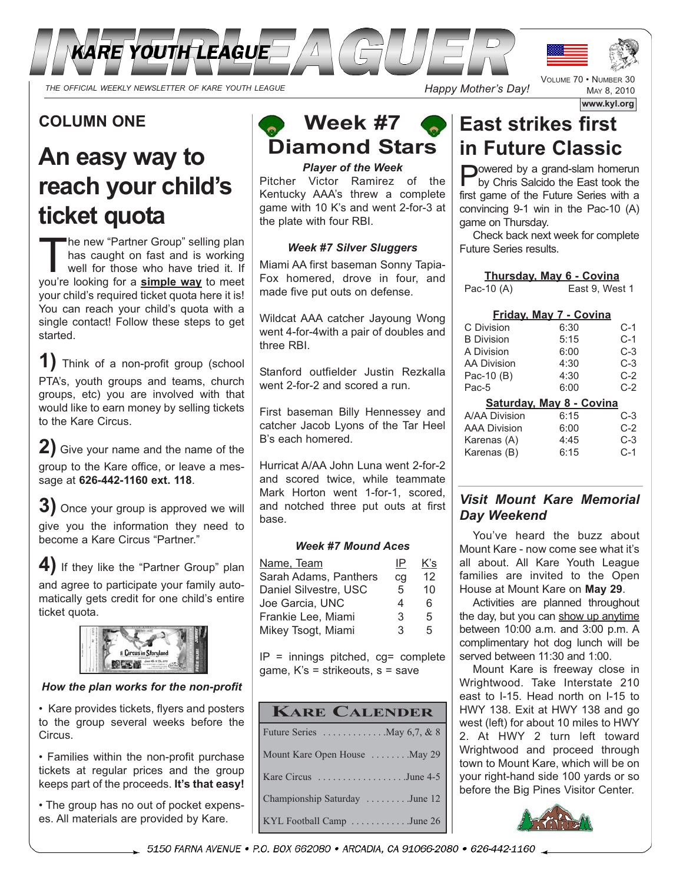

### **COLUMN ONE**

# **An easy way to reach your child's ticket quota**

The new "Partner Group" selling plan has caught on fast and is working well for those who have tried it. If you're looking for a **simple way** to meet your child's required ticket quota here it is! You can reach your child's quota with a single contact! Follow these steps to get started.

**1)** Think of a non-profit group (school PTA's, youth groups and teams, church groups, etc) you are involved with that would like to earn money by selling tickets to the Kare Circus.

**2)** Give your name and the name of the group to the Kare office, or leave a message at **626-442-1160 ext. 118**.

**3)** Once your group is approved we will give you the information they need to become a Kare Circus "Partner."

**4)** If they like the "Partner Group" plan and agree to participate your family automatically gets credit for one child's entire ticket quota.



#### *How the plan works for the non-profit*

• Kare provides tickets, flyers and posters to the group several weeks before the Circus.

• Families within the non-profit purchase tickets at regular prices and the group keeps part of the proceeds. **It's that easy!**

• The group has no out of pocket expenses. All materials are provided by Kare.

# **Week #7 Diamond Stars**

*Player of the Week* Pitcher Victor Ramirez of the Kentucky AAA's threw a complete game with 10 K's and went 2-for-3 at the plate with four RBI.

#### *Week #7 Silver Sluggers*

Miami AA first baseman Sonny Tapia-Fox homered, drove in four, and made five put outs on defense.

Wildcat AAA catcher Jayoung Wong went 4-for-4with a pair of doubles and three RBI.

Stanford outfielder Justin Rezkalla went 2-for-2 and scored a run.

First baseman Billy Hennessey and catcher Jacob Lyons of the Tar Heel B's each homered.

Hurricat A/AA John Luna went 2-for-2 and scored twice, while teammate Mark Horton went 1-for-1, scored, and notched three put outs at first base.

#### *Week #7 Mound Aces*

| Name, Team            | IP | K's |
|-----------------------|----|-----|
| Sarah Adams, Panthers | cq | 12  |
| Daniel Silvestre, USC | 5  | 10  |
| Joe Garcia, UNC       | 4  | 6   |
| Frankie Lee, Miami    | 3  | 5   |
| Mikey Tsogt, Miami    | 3  | 5   |

 $IP =$  innings pitched,  $cg =$  complete game, K's = strikeouts, s = save

| <b>KARE CALENDER</b>                                 |
|------------------------------------------------------|
| Future Series $\dots \dots \dots \dots$ May 6,7, & 8 |
| Mount Kare Open House  May 29                        |
| Kare Circus June 4-5                                 |
| Championship Saturday June 12                        |
| KYL Football Camp June 26                            |

# **East strikes first in Future Classic**

**P**owered by a grand-slam homerun<br>by Chris Salcido the East took the first game of the Future Series with a convincing 9-1 win in the Pac-10 (A) game on Thursday.

Check back next week for complete Future Series results.

| <b>Thursday, May 6 - Covina</b> |                               |       |
|---------------------------------|-------------------------------|-------|
| Pac-10 (A)                      | East 9, West 1                |       |
|                                 |                               |       |
|                                 | <u>Friday, May 7 - Covina</u> |       |
| C Division                      | 6:30                          | C-1   |
| <b>B</b> Division               | 5:15                          | $C-1$ |
| A Division                      | 6:00                          | C-3   |
| AA Division                     | 4:30                          | C-3   |
| Pac-10 (B)                      | 4:30                          | $C-2$ |
| Pac-5                           | 6:00                          | $C-2$ |
|                                 | Saturday, May 8 - Covina      |       |
| A/AA Division                   | 6:15                          | C-3   |
| AAA Division                    | 6:00                          | $C-2$ |
| Karenas (A)                     | 4:45                          | C-3   |
| Karenas (B)                     | 6:15                          | $C-1$ |
|                                 |                               |       |

### *Visit Mount Kare Memorial Day Weekend*

You've heard the buzz about Mount Kare - now come see what it's all about. All Kare Youth League families are invited to the Open House at Mount Kare on **May 29**.

Activities are planned throughout the day, but you can show up anytime between 10:00 a.m. and 3:00 p.m. A complimentary hot dog lunch will be served between 11:30 and 1:00.

Mount Kare is freeway close in Wrightwood. Take Interstate 210 east to I-15. Head north on I-15 to HWY 138. Exit at HWY 138 and go west (left) for about 10 miles to HWY 2. At HWY 2 turn left toward Wrightwood and proceed through town to Mount Kare, which will be on your right-hand side 100 yards or so before the Big Pines Visitor Center.





MAY 8, 2010

**www.kyl.org**